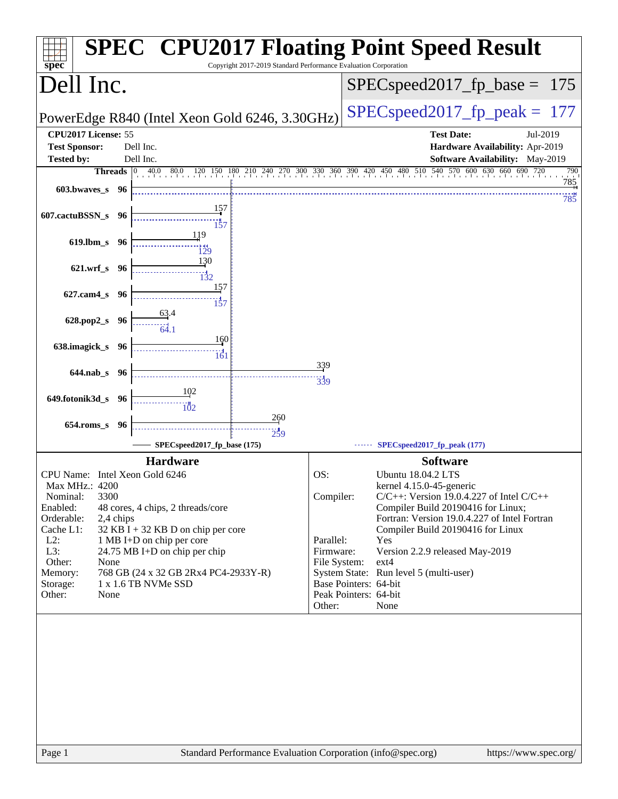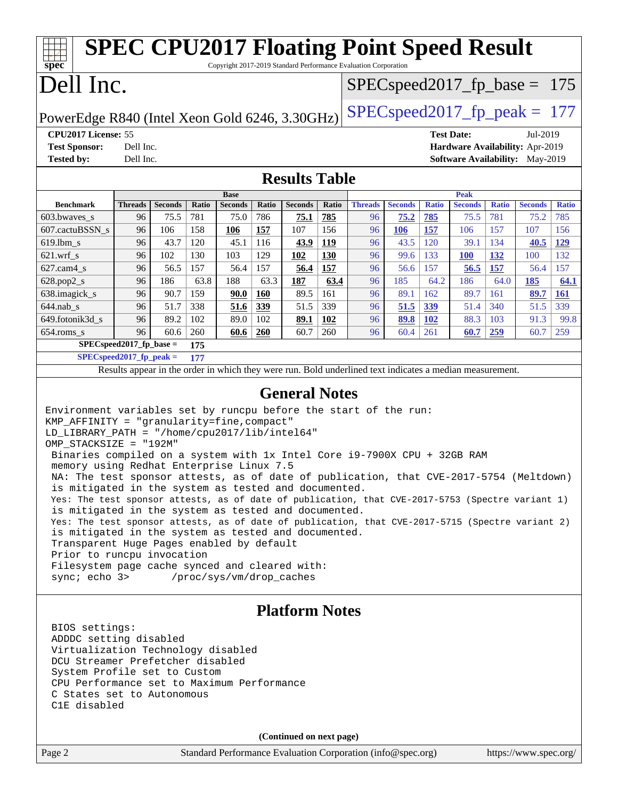#### Page 2 Standard Performance Evaluation Corporation [\(info@spec.org\)](mailto:info@spec.org) <https://www.spec.org/> **[spec](http://www.spec.org/) [SPEC CPU2017 Floating Point Speed Result](http://www.spec.org/auto/cpu2017/Docs/result-fields.html#SPECCPU2017FloatingPointSpeedResult)** Copyright 2017-2019 Standard Performance Evaluation Corporation Dell Inc. PowerEdge R840 (Intel Xeon Gold 6246, 3.30GHz) [SPECspeed2017\\_fp\\_peak =](http://www.spec.org/auto/cpu2017/Docs/result-fields.html#SPECspeed2017fppeak) 177 SPECspeed2017 fp base =  $175$ **[CPU2017 License:](http://www.spec.org/auto/cpu2017/Docs/result-fields.html#CPU2017License)** 55 **[Test Date:](http://www.spec.org/auto/cpu2017/Docs/result-fields.html#TestDate)** Jul-2019 **[Test Sponsor:](http://www.spec.org/auto/cpu2017/Docs/result-fields.html#TestSponsor)** Dell Inc. **[Hardware Availability:](http://www.spec.org/auto/cpu2017/Docs/result-fields.html#HardwareAvailability)** Apr-2019 **[Tested by:](http://www.spec.org/auto/cpu2017/Docs/result-fields.html#Testedby)** Dell Inc. **[Software Availability:](http://www.spec.org/auto/cpu2017/Docs/result-fields.html#SoftwareAvailability)** May-2019 **[Results Table](http://www.spec.org/auto/cpu2017/Docs/result-fields.html#ResultsTable) [Benchmark](http://www.spec.org/auto/cpu2017/Docs/result-fields.html#Benchmark) [Threads](http://www.spec.org/auto/cpu2017/Docs/result-fields.html#Threads) [Seconds](http://www.spec.org/auto/cpu2017/Docs/result-fields.html#Seconds) [Ratio](http://www.spec.org/auto/cpu2017/Docs/result-fields.html#Ratio) [Seconds](http://www.spec.org/auto/cpu2017/Docs/result-fields.html#Seconds) [Ratio](http://www.spec.org/auto/cpu2017/Docs/result-fields.html#Ratio) [Seconds](http://www.spec.org/auto/cpu2017/Docs/result-fields.html#Seconds) [Ratio](http://www.spec.org/auto/cpu2017/Docs/result-fields.html#Ratio) Base [Threads](http://www.spec.org/auto/cpu2017/Docs/result-fields.html#Threads) [Seconds](http://www.spec.org/auto/cpu2017/Docs/result-fields.html#Seconds) [Ratio](http://www.spec.org/auto/cpu2017/Docs/result-fields.html#Ratio) [Seconds](http://www.spec.org/auto/cpu2017/Docs/result-fields.html#Seconds) [Ratio](http://www.spec.org/auto/cpu2017/Docs/result-fields.html#Ratio) [Seconds](http://www.spec.org/auto/cpu2017/Docs/result-fields.html#Seconds) [Ratio](http://www.spec.org/auto/cpu2017/Docs/result-fields.html#Ratio) Peak** [603.bwaves\\_s](http://www.spec.org/auto/cpu2017/Docs/benchmarks/603.bwaves_s.html) 96 75.5 781 75.0 786 **[75.1](http://www.spec.org/auto/cpu2017/Docs/result-fields.html#Median) [785](http://www.spec.org/auto/cpu2017/Docs/result-fields.html#Median)** 96 **[75.2](http://www.spec.org/auto/cpu2017/Docs/result-fields.html#Median) [785](http://www.spec.org/auto/cpu2017/Docs/result-fields.html#Median)** 75.5 781 75.2 785 [607.cactuBSSN\\_s](http://www.spec.org/auto/cpu2017/Docs/benchmarks/607.cactuBSSN_s.html) 96 106 158 **[106](http://www.spec.org/auto/cpu2017/Docs/result-fields.html#Median) [157](http://www.spec.org/auto/cpu2017/Docs/result-fields.html#Median)** 107 156 96 **[106](http://www.spec.org/auto/cpu2017/Docs/result-fields.html#Median) [157](http://www.spec.org/auto/cpu2017/Docs/result-fields.html#Median)** 106 157 107 156 [619.lbm\\_s](http://www.spec.org/auto/cpu2017/Docs/benchmarks/619.lbm_s.html) 96 43.7 120 45.1 116 **[43.9](http://www.spec.org/auto/cpu2017/Docs/result-fields.html#Median) [119](http://www.spec.org/auto/cpu2017/Docs/result-fields.html#Median)** 96 43.5 120 39.1 134 **[40.5](http://www.spec.org/auto/cpu2017/Docs/result-fields.html#Median) [129](http://www.spec.org/auto/cpu2017/Docs/result-fields.html#Median)** [621.wrf\\_s](http://www.spec.org/auto/cpu2017/Docs/benchmarks/621.wrf_s.html) 96 102 130 103 129 **[102](http://www.spec.org/auto/cpu2017/Docs/result-fields.html#Median) [130](http://www.spec.org/auto/cpu2017/Docs/result-fields.html#Median)** 96 99.6 133 **[100](http://www.spec.org/auto/cpu2017/Docs/result-fields.html#Median) [132](http://www.spec.org/auto/cpu2017/Docs/result-fields.html#Median)** 100 132 [627.cam4\\_s](http://www.spec.org/auto/cpu2017/Docs/benchmarks/627.cam4_s.html) 96 56.5 157 56.4 157 **[56.4](http://www.spec.org/auto/cpu2017/Docs/result-fields.html#Median) [157](http://www.spec.org/auto/cpu2017/Docs/result-fields.html#Median)** 96 56.6 157 **[56.5](http://www.spec.org/auto/cpu2017/Docs/result-fields.html#Median) [157](http://www.spec.org/auto/cpu2017/Docs/result-fields.html#Median)** 56.4 157 [628.pop2\\_s](http://www.spec.org/auto/cpu2017/Docs/benchmarks/628.pop2_s.html) 96 186 63.8 188 63.3 **[187](http://www.spec.org/auto/cpu2017/Docs/result-fields.html#Median) [63.4](http://www.spec.org/auto/cpu2017/Docs/result-fields.html#Median)** 96 185 64.2 186 64.0 **[185](http://www.spec.org/auto/cpu2017/Docs/result-fields.html#Median) [64.1](http://www.spec.org/auto/cpu2017/Docs/result-fields.html#Median)** [638.imagick\\_s](http://www.spec.org/auto/cpu2017/Docs/benchmarks/638.imagick_s.html) 96 90.7 159 **[90.0](http://www.spec.org/auto/cpu2017/Docs/result-fields.html#Median) [160](http://www.spec.org/auto/cpu2017/Docs/result-fields.html#Median)** 89.5 161 96 89.1 162 89.7 161 **[89.7](http://www.spec.org/auto/cpu2017/Docs/result-fields.html#Median) [161](http://www.spec.org/auto/cpu2017/Docs/result-fields.html#Median)** [644.nab\\_s](http://www.spec.org/auto/cpu2017/Docs/benchmarks/644.nab_s.html) 96 51.7 338 **[51.6](http://www.spec.org/auto/cpu2017/Docs/result-fields.html#Median) [339](http://www.spec.org/auto/cpu2017/Docs/result-fields.html#Median)** 51.5 339 96 **[51.5](http://www.spec.org/auto/cpu2017/Docs/result-fields.html#Median) [339](http://www.spec.org/auto/cpu2017/Docs/result-fields.html#Median)** 51.4 340 51.5 339 [649.fotonik3d\\_s](http://www.spec.org/auto/cpu2017/Docs/benchmarks/649.fotonik3d_s.html) 96 89.2 102 89.0 102 **[89.1](http://www.spec.org/auto/cpu2017/Docs/result-fields.html#Median) [102](http://www.spec.org/auto/cpu2017/Docs/result-fields.html#Median)** 96 **[89.8](http://www.spec.org/auto/cpu2017/Docs/result-fields.html#Median) [102](http://www.spec.org/auto/cpu2017/Docs/result-fields.html#Median)** 88.3 103 91.3 99.8 [654.roms\\_s](http://www.spec.org/auto/cpu2017/Docs/benchmarks/654.roms_s.html) 96 60.6 260 **[60.6](http://www.spec.org/auto/cpu2017/Docs/result-fields.html#Median) [260](http://www.spec.org/auto/cpu2017/Docs/result-fields.html#Median)** 60.7 260 96 60.4 261 **[60.7](http://www.spec.org/auto/cpu2017/Docs/result-fields.html#Median) [259](http://www.spec.org/auto/cpu2017/Docs/result-fields.html#Median)** 60.7 259 **[SPECspeed2017\\_fp\\_base =](http://www.spec.org/auto/cpu2017/Docs/result-fields.html#SPECspeed2017fpbase) 175 [SPECspeed2017\\_fp\\_peak =](http://www.spec.org/auto/cpu2017/Docs/result-fields.html#SPECspeed2017fppeak) 177** Results appear in the [order in which they were run.](http://www.spec.org/auto/cpu2017/Docs/result-fields.html#RunOrder) Bold underlined text [indicates a median measurement](http://www.spec.org/auto/cpu2017/Docs/result-fields.html#Median). **[General Notes](http://www.spec.org/auto/cpu2017/Docs/result-fields.html#GeneralNotes)** Environment variables set by runcpu before the start of the run: KMP\_AFFINITY = "granularity=fine,compact" LD\_LIBRARY\_PATH = "/home/cpu2017/lib/intel64" OMP\_STACKSIZE = "192M" Binaries compiled on a system with 1x Intel Core i9-7900X CPU + 32GB RAM memory using Redhat Enterprise Linux 7.5 NA: The test sponsor attests, as of date of publication, that CVE-2017-5754 (Meltdown) is mitigated in the system as tested and documented. Yes: The test sponsor attests, as of date of publication, that CVE-2017-5753 (Spectre variant 1) is mitigated in the system as tested and documented. Yes: The test sponsor attests, as of date of publication, that CVE-2017-5715 (Spectre variant 2) is mitigated in the system as tested and documented. Transparent Huge Pages enabled by default Prior to runcpu invocation Filesystem page cache synced and cleared with: sync; echo 3> /proc/sys/vm/drop\_caches **[Platform Notes](http://www.spec.org/auto/cpu2017/Docs/result-fields.html#PlatformNotes)** BIOS settings: ADDDC setting disabled Virtualization Technology disabled DCU Streamer Prefetcher disabled System Profile set to Custom CPU Performance set to Maximum Performance C States set to Autonomous C1E disabled **(Continued on next page)**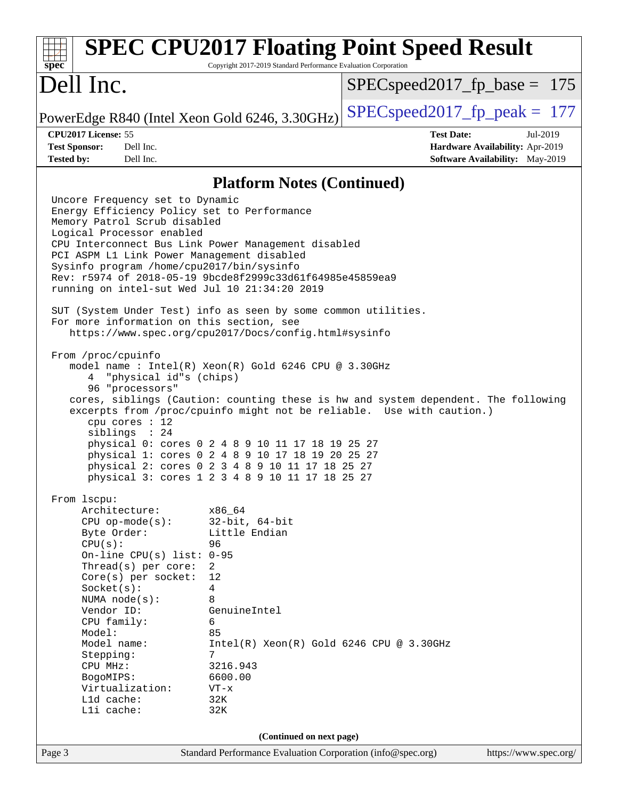| spec                                                                                                                                                                                                                                                                                                                                                                                                                                                                                                                                                                                                                                                                                                                                                                                                                                | <b>SPEC CPU2017 Floating Point Speed Result</b><br>Copyright 2017-2019 Standard Performance Evaluation Corporation                                                                                                                                                                                                                                                                                                                                                                                                                                                                    |                                  |                                                                                |
|-------------------------------------------------------------------------------------------------------------------------------------------------------------------------------------------------------------------------------------------------------------------------------------------------------------------------------------------------------------------------------------------------------------------------------------------------------------------------------------------------------------------------------------------------------------------------------------------------------------------------------------------------------------------------------------------------------------------------------------------------------------------------------------------------------------------------------------|---------------------------------------------------------------------------------------------------------------------------------------------------------------------------------------------------------------------------------------------------------------------------------------------------------------------------------------------------------------------------------------------------------------------------------------------------------------------------------------------------------------------------------------------------------------------------------------|----------------------------------|--------------------------------------------------------------------------------|
| Dell Inc.                                                                                                                                                                                                                                                                                                                                                                                                                                                                                                                                                                                                                                                                                                                                                                                                                           |                                                                                                                                                                                                                                                                                                                                                                                                                                                                                                                                                                                       | $SPEC speed2017_f p\_base = 175$ |                                                                                |
| PowerEdge R840 (Intel Xeon Gold 6246, 3.30GHz)                                                                                                                                                                                                                                                                                                                                                                                                                                                                                                                                                                                                                                                                                                                                                                                      |                                                                                                                                                                                                                                                                                                                                                                                                                                                                                                                                                                                       | $SPEC speed2017_fp\_peak = 177$  |                                                                                |
| CPU2017 License: 55<br><b>Test Sponsor:</b><br>Dell Inc.<br><b>Tested by:</b><br>Dell Inc.                                                                                                                                                                                                                                                                                                                                                                                                                                                                                                                                                                                                                                                                                                                                          |                                                                                                                                                                                                                                                                                                                                                                                                                                                                                                                                                                                       | <b>Test Date:</b>                | Jul-2019<br>Hardware Availability: Apr-2019<br>Software Availability: May-2019 |
|                                                                                                                                                                                                                                                                                                                                                                                                                                                                                                                                                                                                                                                                                                                                                                                                                                     |                                                                                                                                                                                                                                                                                                                                                                                                                                                                                                                                                                                       |                                  |                                                                                |
|                                                                                                                                                                                                                                                                                                                                                                                                                                                                                                                                                                                                                                                                                                                                                                                                                                     | <b>Platform Notes (Continued)</b>                                                                                                                                                                                                                                                                                                                                                                                                                                                                                                                                                     |                                  |                                                                                |
| Uncore Frequency set to Dynamic<br>Energy Efficiency Policy set to Performance<br>Memory Patrol Scrub disabled<br>Logical Processor enabled<br>CPU Interconnect Bus Link Power Management disabled<br>PCI ASPM L1 Link Power Management disabled<br>Sysinfo program /home/cpu2017/bin/sysinfo<br>Rev: r5974 of 2018-05-19 9bcde8f2999c33d61f64985e45859ea9<br>running on intel-sut Wed Jul 10 21:34:20 2019<br>SUT (System Under Test) info as seen by some common utilities.<br>For more information on this section, see<br>From /proc/cpuinfo<br>"physical id"s (chips)<br>4<br>96 "processors"<br>cpu cores : 12<br>siblings : 24<br>From 1scpu:<br>Architecture:<br>$CPU$ op-mode( $s$ ):<br>Byte Order:<br>CPU(s):<br>On-line CPU $(s)$ list:<br>Thread(s) per core:<br>Core(s) per socket:<br>Socket(s):<br>NUMA $node(s)$ : | https://www.spec.org/cpu2017/Docs/config.html#sysinfo<br>model name : Intel(R) Xeon(R) Gold 6246 CPU @ 3.30GHz<br>cores, siblings (Caution: counting these is hw and system dependent. The following<br>excerpts from /proc/cpuinfo might not be reliable. Use with caution.)<br>physical 0: cores 0 2 4 8 9 10 11 17 18 19 25 27<br>physical 1: cores 0 2 4 8 9 10 17 18 19 20 25 27<br>physical 2: cores 0 2 3 4 8 9 10 11 17 18 25 27<br>physical 3: cores 1 2 3 4 8 9 10 11 17 18 25 27<br>x86_64<br>$32$ -bit, $64$ -bit<br>Little Endian<br>96<br>$0 - 95$<br>2<br>12<br>4<br>8 |                                  |                                                                                |
| Vendor ID:                                                                                                                                                                                                                                                                                                                                                                                                                                                                                                                                                                                                                                                                                                                                                                                                                          | GenuineIntel                                                                                                                                                                                                                                                                                                                                                                                                                                                                                                                                                                          |                                  |                                                                                |
| CPU family:<br>Model:                                                                                                                                                                                                                                                                                                                                                                                                                                                                                                                                                                                                                                                                                                                                                                                                               | 6<br>85                                                                                                                                                                                                                                                                                                                                                                                                                                                                                                                                                                               |                                  |                                                                                |
| Model name:<br>Stepping:                                                                                                                                                                                                                                                                                                                                                                                                                                                                                                                                                                                                                                                                                                                                                                                                            | $Intel(R) Xeon(R) Gold 6246 CPU @ 3.30GHz$<br>7                                                                                                                                                                                                                                                                                                                                                                                                                                                                                                                                       |                                  |                                                                                |
| CPU MHz:<br>BogoMIPS:                                                                                                                                                                                                                                                                                                                                                                                                                                                                                                                                                                                                                                                                                                                                                                                                               | 3216.943<br>6600.00                                                                                                                                                                                                                                                                                                                                                                                                                                                                                                                                                                   |                                  |                                                                                |
| Virtualization:                                                                                                                                                                                                                                                                                                                                                                                                                                                                                                                                                                                                                                                                                                                                                                                                                     | $VT - x$                                                                                                                                                                                                                                                                                                                                                                                                                                                                                                                                                                              |                                  |                                                                                |
| L1d cache:<br>Lli cache:                                                                                                                                                                                                                                                                                                                                                                                                                                                                                                                                                                                                                                                                                                                                                                                                            | 32K<br>32K                                                                                                                                                                                                                                                                                                                                                                                                                                                                                                                                                                            |                                  |                                                                                |
| (Continued on next page)                                                                                                                                                                                                                                                                                                                                                                                                                                                                                                                                                                                                                                                                                                                                                                                                            |                                                                                                                                                                                                                                                                                                                                                                                                                                                                                                                                                                                       |                                  |                                                                                |
| Page 3                                                                                                                                                                                                                                                                                                                                                                                                                                                                                                                                                                                                                                                                                                                                                                                                                              | Standard Performance Evaluation Corporation (info@spec.org)                                                                                                                                                                                                                                                                                                                                                                                                                                                                                                                           |                                  | https://www.spec.org/                                                          |
|                                                                                                                                                                                                                                                                                                                                                                                                                                                                                                                                                                                                                                                                                                                                                                                                                                     |                                                                                                                                                                                                                                                                                                                                                                                                                                                                                                                                                                                       |                                  |                                                                                |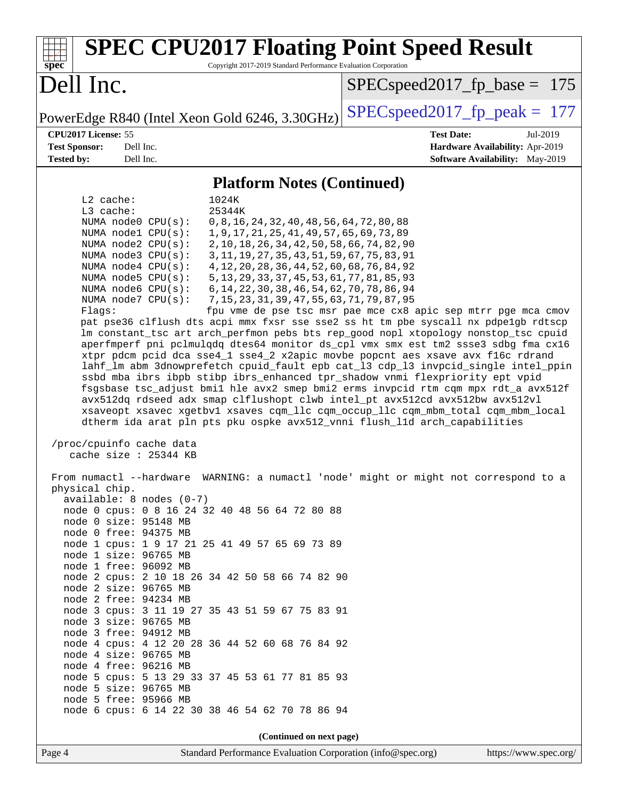| <b>SPEC CPU2017 Floating Point Speed Result</b><br>spec<br>Copyright 2017-2019 Standard Performance Evaluation Corporation                                                                                                                                                                                                                                                                                                                                                                                                                                                                                                                                                                                                                                                                                                                                                                                                                                                                                                                                                                                                                                                                                                                                                                                                                                                                                                                                                                                                                                                                                                                                                                                                                                                                                                                                                                                                                                                                                                                                              |                                 |  |
|-------------------------------------------------------------------------------------------------------------------------------------------------------------------------------------------------------------------------------------------------------------------------------------------------------------------------------------------------------------------------------------------------------------------------------------------------------------------------------------------------------------------------------------------------------------------------------------------------------------------------------------------------------------------------------------------------------------------------------------------------------------------------------------------------------------------------------------------------------------------------------------------------------------------------------------------------------------------------------------------------------------------------------------------------------------------------------------------------------------------------------------------------------------------------------------------------------------------------------------------------------------------------------------------------------------------------------------------------------------------------------------------------------------------------------------------------------------------------------------------------------------------------------------------------------------------------------------------------------------------------------------------------------------------------------------------------------------------------------------------------------------------------------------------------------------------------------------------------------------------------------------------------------------------------------------------------------------------------------------------------------------------------------------------------------------------------|---------------------------------|--|
| Dell Inc.                                                                                                                                                                                                                                                                                                                                                                                                                                                                                                                                                                                                                                                                                                                                                                                                                                                                                                                                                                                                                                                                                                                                                                                                                                                                                                                                                                                                                                                                                                                                                                                                                                                                                                                                                                                                                                                                                                                                                                                                                                                               | $SPEC speed2017_fp\_base = 175$ |  |
| PowerEdge R840 (Intel Xeon Gold 6246, 3.30GHz)                                                                                                                                                                                                                                                                                                                                                                                                                                                                                                                                                                                                                                                                                                                                                                                                                                                                                                                                                                                                                                                                                                                                                                                                                                                                                                                                                                                                                                                                                                                                                                                                                                                                                                                                                                                                                                                                                                                                                                                                                          | $SPEC speed2017_fp_peak = 177$  |  |
| CPU2017 License: 55                                                                                                                                                                                                                                                                                                                                                                                                                                                                                                                                                                                                                                                                                                                                                                                                                                                                                                                                                                                                                                                                                                                                                                                                                                                                                                                                                                                                                                                                                                                                                                                                                                                                                                                                                                                                                                                                                                                                                                                                                                                     | <b>Test Date:</b><br>Jul-2019   |  |
| Dell Inc.<br><b>Test Sponsor:</b>                                                                                                                                                                                                                                                                                                                                                                                                                                                                                                                                                                                                                                                                                                                                                                                                                                                                                                                                                                                                                                                                                                                                                                                                                                                                                                                                                                                                                                                                                                                                                                                                                                                                                                                                                                                                                                                                                                                                                                                                                                       | Hardware Availability: Apr-2019 |  |
|                                                                                                                                                                                                                                                                                                                                                                                                                                                                                                                                                                                                                                                                                                                                                                                                                                                                                                                                                                                                                                                                                                                                                                                                                                                                                                                                                                                                                                                                                                                                                                                                                                                                                                                                                                                                                                                                                                                                                                                                                                                                         |                                 |  |
|                                                                                                                                                                                                                                                                                                                                                                                                                                                                                                                                                                                                                                                                                                                                                                                                                                                                                                                                                                                                                                                                                                                                                                                                                                                                                                                                                                                                                                                                                                                                                                                                                                                                                                                                                                                                                                                                                                                                                                                                                                                                         |                                 |  |
| <b>Tested by:</b><br>Dell Inc.<br>Software Availability: May-2019<br><b>Platform Notes (Continued)</b><br>L2 cache:<br>1024K<br>L3 cache:<br>25344K<br>0, 8, 16, 24, 32, 40, 48, 56, 64, 72, 80, 88<br>NUMA node0 CPU(s):<br>NUMA nodel CPU(s):<br>1, 9, 17, 21, 25, 41, 49, 57, 65, 69, 73, 89<br>NUMA node2 CPU(s):<br>2, 10, 18, 26, 34, 42, 50, 58, 66, 74, 82, 90<br>NUMA node3 CPU(s):<br>3, 11, 19, 27, 35, 43, 51, 59, 67, 75, 83, 91<br>4, 12, 20, 28, 36, 44, 52, 60, 68, 76, 84, 92<br>NUMA node4 CPU(s):<br>5, 13, 29, 33, 37, 45, 53, 61, 77, 81, 85, 93<br>NUMA $node5$ $CPU(s)$ :<br>NUMA node6 CPU(s):<br>6, 14, 22, 30, 38, 46, 54, 62, 70, 78, 86, 94<br>NUMA node7 CPU(s):<br>7, 15, 23, 31, 39, 47, 55, 63, 71, 79, 87, 95<br>Flaqs:<br>fpu vme de pse tsc msr pae mce cx8 apic sep mtrr pge mca cmov<br>pat pse36 clflush dts acpi mmx fxsr sse sse2 ss ht tm pbe syscall nx pdpelgb rdtscp<br>lm constant_tsc art arch_perfmon pebs bts rep_good nopl xtopology nonstop_tsc cpuid<br>aperfmperf pni pclmulqdq dtes64 monitor ds_cpl vmx smx est tm2 ssse3 sdbg fma cx16<br>xtpr pdcm pcid dca sse4_1 sse4_2 x2apic movbe popcnt aes xsave avx f16c rdrand<br>lahf_lm abm 3dnowprefetch cpuid_fault epb cat_13 cdp_13 invpcid_single intel_ppin<br>ssbd mba ibrs ibpb stibp ibrs_enhanced tpr_shadow vnmi flexpriority ept vpid<br>fsgsbase tsc_adjust bmil hle avx2 smep bmi2 erms invpcid rtm cqm mpx rdt_a avx512f<br>avx512dq rdseed adx smap clflushopt clwb intel_pt avx512cd avx512bw avx512vl<br>xsaveopt xsavec xgetbvl xsaves cqm_llc cqm_occup_llc cqm_mbm_total cqm_mbm_local<br>dtherm ida arat pln pts pku ospke avx512_vnni flush_lld arch_capabilities<br>/proc/cpuinfo cache data<br>cache size : 25344 KB<br>From numactl --hardware WARNING: a numactl 'node' might or might not correspond to a<br>physical chip.<br>$available: 8 nodes (0-7)$<br>node 0 cpus: 0 8 16 24 32 40 48 56 64 72 80 88<br>node 0 size: 95148 MB<br>node 0 free: 94375 MB<br>node 1 cpus: 1 9 17 21 25 41 49 57 65 69 73 89<br>node 1 size: 96765 MB |                                 |  |
| node 1 free: 96092 MB<br>node 2 cpus: 2 10 18 26 34 42 50 58 66 74 82 90                                                                                                                                                                                                                                                                                                                                                                                                                                                                                                                                                                                                                                                                                                                                                                                                                                                                                                                                                                                                                                                                                                                                                                                                                                                                                                                                                                                                                                                                                                                                                                                                                                                                                                                                                                                                                                                                                                                                                                                                |                                 |  |
| node 2 size: 96765 MB<br>node 2 free: 94234 MB                                                                                                                                                                                                                                                                                                                                                                                                                                                                                                                                                                                                                                                                                                                                                                                                                                                                                                                                                                                                                                                                                                                                                                                                                                                                                                                                                                                                                                                                                                                                                                                                                                                                                                                                                                                                                                                                                                                                                                                                                          |                                 |  |
| node 3 cpus: 3 11 19 27 35 43 51 59 67 75 83 91                                                                                                                                                                                                                                                                                                                                                                                                                                                                                                                                                                                                                                                                                                                                                                                                                                                                                                                                                                                                                                                                                                                                                                                                                                                                                                                                                                                                                                                                                                                                                                                                                                                                                                                                                                                                                                                                                                                                                                                                                         |                                 |  |
| node 3 size: 96765 MB<br>node 3 free: 94912 MB                                                                                                                                                                                                                                                                                                                                                                                                                                                                                                                                                                                                                                                                                                                                                                                                                                                                                                                                                                                                                                                                                                                                                                                                                                                                                                                                                                                                                                                                                                                                                                                                                                                                                                                                                                                                                                                                                                                                                                                                                          |                                 |  |
| node 4 cpus: 4 12 20 28 36 44 52 60 68 76 84 92                                                                                                                                                                                                                                                                                                                                                                                                                                                                                                                                                                                                                                                                                                                                                                                                                                                                                                                                                                                                                                                                                                                                                                                                                                                                                                                                                                                                                                                                                                                                                                                                                                                                                                                                                                                                                                                                                                                                                                                                                         |                                 |  |
| node 4 size: 96765 MB                                                                                                                                                                                                                                                                                                                                                                                                                                                                                                                                                                                                                                                                                                                                                                                                                                                                                                                                                                                                                                                                                                                                                                                                                                                                                                                                                                                                                                                                                                                                                                                                                                                                                                                                                                                                                                                                                                                                                                                                                                                   |                                 |  |
| node 4 free: 96216 MB<br>node 5 cpus: 5 13 29 33 37 45 53 61 77 81 85 93                                                                                                                                                                                                                                                                                                                                                                                                                                                                                                                                                                                                                                                                                                                                                                                                                                                                                                                                                                                                                                                                                                                                                                                                                                                                                                                                                                                                                                                                                                                                                                                                                                                                                                                                                                                                                                                                                                                                                                                                |                                 |  |
| node 5 size: 96765 MB                                                                                                                                                                                                                                                                                                                                                                                                                                                                                                                                                                                                                                                                                                                                                                                                                                                                                                                                                                                                                                                                                                                                                                                                                                                                                                                                                                                                                                                                                                                                                                                                                                                                                                                                                                                                                                                                                                                                                                                                                                                   |                                 |  |
| node 5 free: 95966 MB                                                                                                                                                                                                                                                                                                                                                                                                                                                                                                                                                                                                                                                                                                                                                                                                                                                                                                                                                                                                                                                                                                                                                                                                                                                                                                                                                                                                                                                                                                                                                                                                                                                                                                                                                                                                                                                                                                                                                                                                                                                   |                                 |  |
| node 6 cpus: 6 14 22 30 38 46 54 62 70 78 86 94                                                                                                                                                                                                                                                                                                                                                                                                                                                                                                                                                                                                                                                                                                                                                                                                                                                                                                                                                                                                                                                                                                                                                                                                                                                                                                                                                                                                                                                                                                                                                                                                                                                                                                                                                                                                                                                                                                                                                                                                                         |                                 |  |
| (Continued on next page)                                                                                                                                                                                                                                                                                                                                                                                                                                                                                                                                                                                                                                                                                                                                                                                                                                                                                                                                                                                                                                                                                                                                                                                                                                                                                                                                                                                                                                                                                                                                                                                                                                                                                                                                                                                                                                                                                                                                                                                                                                                |                                 |  |
| Page 4<br>Standard Performance Evaluation Corporation (info@spec.org)                                                                                                                                                                                                                                                                                                                                                                                                                                                                                                                                                                                                                                                                                                                                                                                                                                                                                                                                                                                                                                                                                                                                                                                                                                                                                                                                                                                                                                                                                                                                                                                                                                                                                                                                                                                                                                                                                                                                                                                                   | https://www.spec.org/           |  |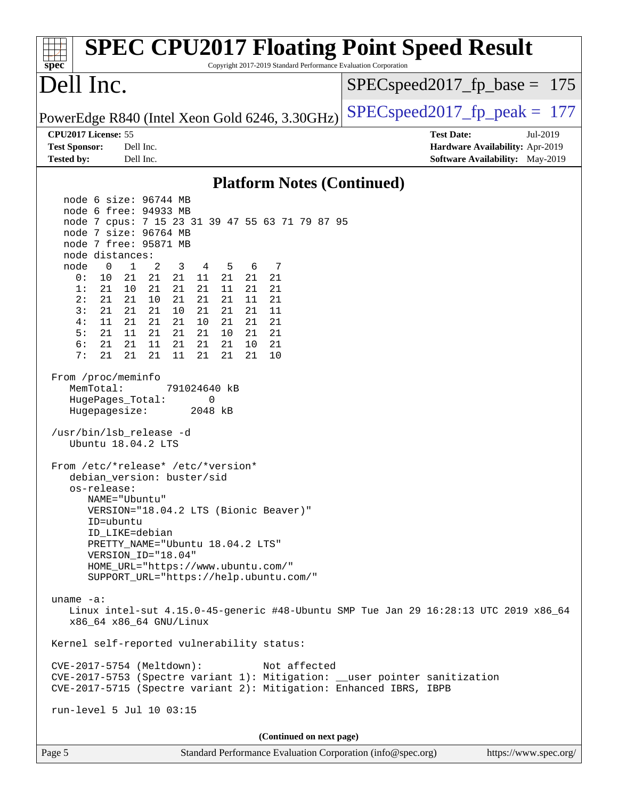| <b>SPEC CPU2017 Floating Point Speed Result</b><br>Copyright 2017-2019 Standard Performance Evaluation Corporation<br>$spec^*$                                                                                                                                                                                                                                                                                                                                                                                                                                                                                                                                                                                                                                                                                                                                                                                                                                                                                                                                                                                                                                                                                                                                                                                                                                                                                                                                                                                                                                        |                                                                                                            |
|-----------------------------------------------------------------------------------------------------------------------------------------------------------------------------------------------------------------------------------------------------------------------------------------------------------------------------------------------------------------------------------------------------------------------------------------------------------------------------------------------------------------------------------------------------------------------------------------------------------------------------------------------------------------------------------------------------------------------------------------------------------------------------------------------------------------------------------------------------------------------------------------------------------------------------------------------------------------------------------------------------------------------------------------------------------------------------------------------------------------------------------------------------------------------------------------------------------------------------------------------------------------------------------------------------------------------------------------------------------------------------------------------------------------------------------------------------------------------------------------------------------------------------------------------------------------------|------------------------------------------------------------------------------------------------------------|
| Dell Inc.                                                                                                                                                                                                                                                                                                                                                                                                                                                                                                                                                                                                                                                                                                                                                                                                                                                                                                                                                                                                                                                                                                                                                                                                                                                                                                                                                                                                                                                                                                                                                             | $SPEC speed2017_f p\_base = 175$                                                                           |
| PowerEdge R840 (Intel Xeon Gold 6246, 3.30GHz)                                                                                                                                                                                                                                                                                                                                                                                                                                                                                                                                                                                                                                                                                                                                                                                                                                                                                                                                                                                                                                                                                                                                                                                                                                                                                                                                                                                                                                                                                                                        | $SPEC speed2017_fp\_peak = 177$                                                                            |
| CPU2017 License: 55<br><b>Test Sponsor:</b><br>Dell Inc.<br><b>Tested by:</b><br>Dell Inc.                                                                                                                                                                                                                                                                                                                                                                                                                                                                                                                                                                                                                                                                                                                                                                                                                                                                                                                                                                                                                                                                                                                                                                                                                                                                                                                                                                                                                                                                            | <b>Test Date:</b><br>Jul-2019<br>Hardware Availability: Apr-2019<br><b>Software Availability:</b> May-2019 |
| <b>Platform Notes (Continued)</b>                                                                                                                                                                                                                                                                                                                                                                                                                                                                                                                                                                                                                                                                                                                                                                                                                                                                                                                                                                                                                                                                                                                                                                                                                                                                                                                                                                                                                                                                                                                                     |                                                                                                            |
| node 6 size: 96744 MB<br>node 6 free: 94933 MB<br>node 7 cpus: 7 15 23 31 39 47 55 63 71 79 87 95<br>node 7 size: 96764 MB<br>node 7 free: 95871 MB<br>node distances:<br>node<br>0<br>1<br>2<br>3<br>5<br>6<br>7<br>4<br>10<br>21<br>21<br>21<br>21<br>21<br>21<br>0 :<br>11<br>1:<br>21<br>10<br>21<br>21<br>21<br>11<br>21<br>21<br>2:<br>21<br>21<br>10<br>21<br>21<br>21<br>11<br>21<br>21<br>3:<br>21<br>21<br>10<br>21<br>21<br>11<br>21<br>4 :<br>11<br>21<br>21<br>21<br>10<br>21<br>21<br>21<br>5:<br>21<br>11<br>21<br>21<br>21<br>21<br>10<br>21<br>6:<br>21<br>21<br>21<br>21<br>11<br>21<br>21<br>10<br>7:<br>21<br>21<br>21<br>11<br>21<br>21<br>21<br>10<br>From /proc/meminfo<br>MemTotal:<br>791024640 kB<br>HugePages_Total:<br>0<br>Hugepagesize:<br>2048 kB<br>/usr/bin/lsb_release -d<br>Ubuntu 18.04.2 LTS<br>From /etc/*release* /etc/*version*<br>debian_version: buster/sid<br>os-release:<br>NAME="Ubuntu"<br>VERSION="18.04.2 LTS (Bionic Beaver)"<br>ID=ubuntu<br>ID_LIKE=debian<br>PRETTY_NAME="Ubuntu 18.04.2 LTS"<br>VERSION_ID="18.04"<br>HOME_URL="https://www.ubuntu.com/"<br>SUPPORT_URL="https://help.ubuntu.com/"<br>uname $-a$ :<br>Linux intel-sut 4.15.0-45-generic #48-Ubuntu SMP Tue Jan 29 16:28:13 UTC 2019 x86_64<br>x86_64 x86_64 GNU/Linux<br>Kernel self-reported vulnerability status:<br>CVE-2017-5754 (Meltdown):<br>Not affected<br>CVE-2017-5753 (Spectre variant 1): Mitigation: __user pointer sanitization<br>CVE-2017-5715 (Spectre variant 2): Mitigation: Enhanced IBRS, IBPB<br>run-level 5 Jul 10 03:15 |                                                                                                            |
| (Continued on next page)                                                                                                                                                                                                                                                                                                                                                                                                                                                                                                                                                                                                                                                                                                                                                                                                                                                                                                                                                                                                                                                                                                                                                                                                                                                                                                                                                                                                                                                                                                                                              |                                                                                                            |
| Standard Performance Evaluation Corporation (info@spec.org)<br>Page 5                                                                                                                                                                                                                                                                                                                                                                                                                                                                                                                                                                                                                                                                                                                                                                                                                                                                                                                                                                                                                                                                                                                                                                                                                                                                                                                                                                                                                                                                                                 | https://www.spec.org/                                                                                      |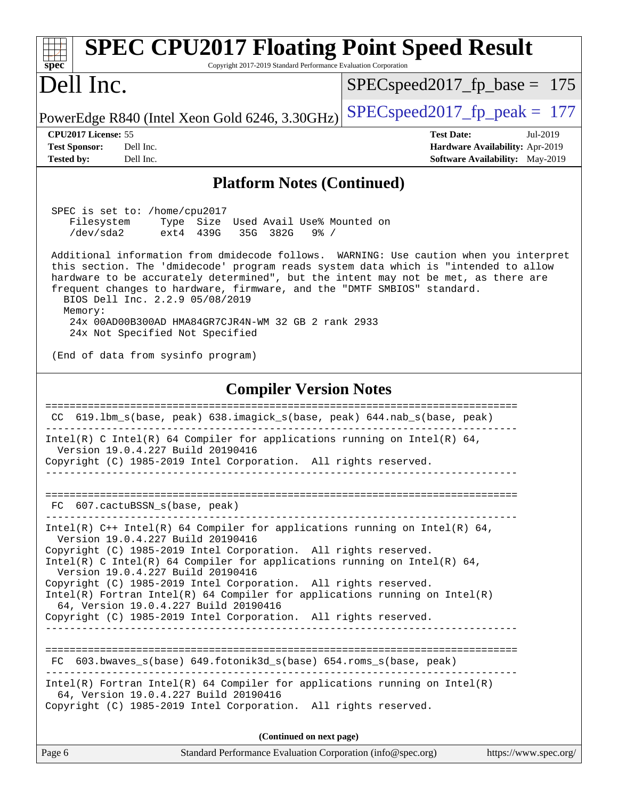| <b>SPEC CPU2017 Floating Point Speed Result</b><br>Copyright 2017-2019 Standard Performance Evaluation Corporation<br>spec <sup>®</sup>                                                                                                                                                                                                                                                                                                                                                                                                                                                                                                                                                |                                                                                                            |  |
|----------------------------------------------------------------------------------------------------------------------------------------------------------------------------------------------------------------------------------------------------------------------------------------------------------------------------------------------------------------------------------------------------------------------------------------------------------------------------------------------------------------------------------------------------------------------------------------------------------------------------------------------------------------------------------------|------------------------------------------------------------------------------------------------------------|--|
| Dell Inc.                                                                                                                                                                                                                                                                                                                                                                                                                                                                                                                                                                                                                                                                              | $SPEC speed2017_fp\_base = 175$                                                                            |  |
| PowerEdge R840 (Intel Xeon Gold 6246, 3.30GHz)                                                                                                                                                                                                                                                                                                                                                                                                                                                                                                                                                                                                                                         | $SPEC speed2017_fp\_peak = 177$                                                                            |  |
| CPU2017 License: 55<br><b>Test Sponsor:</b><br>Dell Inc.<br>Dell Inc.<br><b>Tested by:</b>                                                                                                                                                                                                                                                                                                                                                                                                                                                                                                                                                                                             | <b>Test Date:</b><br>Jul-2019<br>Hardware Availability: Apr-2019<br><b>Software Availability:</b> May-2019 |  |
| <b>Platform Notes (Continued)</b>                                                                                                                                                                                                                                                                                                                                                                                                                                                                                                                                                                                                                                                      |                                                                                                            |  |
| SPEC is set to: /home/cpu2017<br>Filesystem<br>Type Size Used Avail Use% Mounted on<br>$/\text{dev/sda2}$<br>ext4 439G<br>35G 382G<br>$9\frac{6}{9}$ /<br>Additional information from dmidecode follows. WARNING: Use caution when you interpret<br>this section. The 'dmidecode' program reads system data which is "intended to allow<br>hardware to be accurately determined", but the intent may not be met, as there are<br>frequent changes to hardware, firmware, and the "DMTF SMBIOS" standard.<br>BIOS Dell Inc. 2.2.9 05/08/2019<br>Memory:<br>24x 00AD00B300AD HMA84GR7CJR4N-WM 32 GB 2 rank 2933<br>24x Not Specified Not Specified<br>(End of data from sysinfo program) |                                                                                                            |  |
| <b>Compiler Version Notes</b>                                                                                                                                                                                                                                                                                                                                                                                                                                                                                                                                                                                                                                                          |                                                                                                            |  |
| 619.1bm_s(base, peak) 638.imagick_s(base, peak) 644.nab_s(base, peak)<br>CC.<br>Intel(R) C Intel(R) 64 Compiler for applications running on Intel(R) 64,<br>Version 19.0.4.227 Build 20190416<br>Copyright (C) 1985-2019 Intel Corporation. All rights reserved.                                                                                                                                                                                                                                                                                                                                                                                                                       |                                                                                                            |  |
| FC 607.cactuBSSN_s(base, peak)                                                                                                                                                                                                                                                                                                                                                                                                                                                                                                                                                                                                                                                         |                                                                                                            |  |
| Intel(R) $C++$ Intel(R) 64 Compiler for applications running on Intel(R) 64,<br>Version 19.0.4.227 Build 20190416<br>Copyright (C) 1985-2019 Intel Corporation. All rights reserved.<br>Intel(R) C Intel(R) 64 Compiler for applications running on Intel(R) 64,<br>Version 19.0.4.227 Build 20190416<br>Copyright (C) 1985-2019 Intel Corporation. All rights reserved.<br>$Intel(R)$ Fortran Intel(R) 64 Compiler for applications running on Intel(R)<br>64, Version 19.0.4.227 Build 20190416<br>Copyright (C) 1985-2019 Intel Corporation. All rights reserved.                                                                                                                   |                                                                                                            |  |
| FC 603.bwaves_s(base) 649.fotonik3d_s(base) 654.roms_s(base, peak)                                                                                                                                                                                                                                                                                                                                                                                                                                                                                                                                                                                                                     |                                                                                                            |  |
| $Intel(R)$ Fortran Intel(R) 64 Compiler for applications running on Intel(R)<br>64, Version 19.0.4.227 Build 20190416<br>Copyright (C) 1985-2019 Intel Corporation. All rights reserved.                                                                                                                                                                                                                                                                                                                                                                                                                                                                                               |                                                                                                            |  |
| (Continued on next page)                                                                                                                                                                                                                                                                                                                                                                                                                                                                                                                                                                                                                                                               |                                                                                                            |  |
| Page 6<br>Standard Performance Evaluation Corporation (info@spec.org)                                                                                                                                                                                                                                                                                                                                                                                                                                                                                                                                                                                                                  | https://www.spec.org/                                                                                      |  |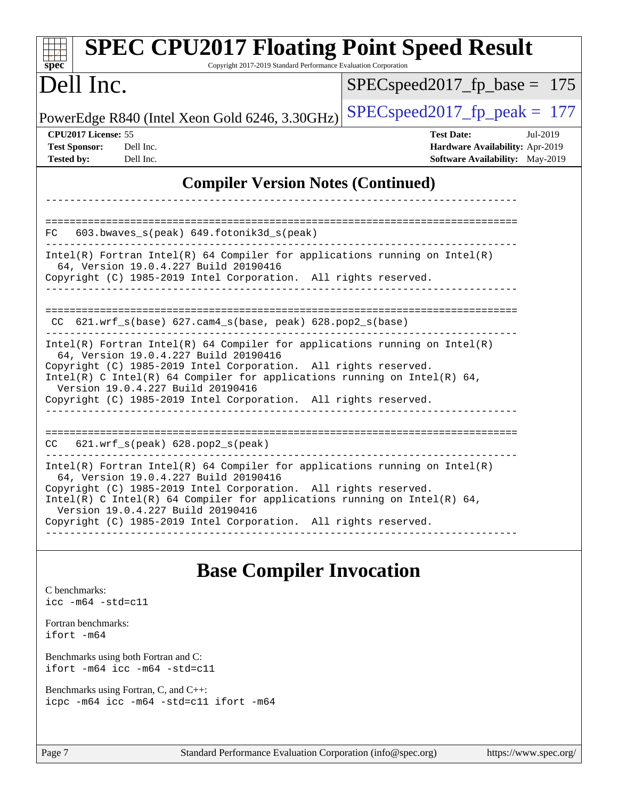| <b>SPEC CPU2017 Floating Point Speed Result</b><br>Copyright 2017-2019 Standard Performance Evaluation Corporation<br>spec <sup>®</sup>                                                                                                                                                                                                                                      |                                                                                                     |  |
|------------------------------------------------------------------------------------------------------------------------------------------------------------------------------------------------------------------------------------------------------------------------------------------------------------------------------------------------------------------------------|-----------------------------------------------------------------------------------------------------|--|
| Dell Inc.                                                                                                                                                                                                                                                                                                                                                                    | $SPEC speed2017_fp\_base = 175$                                                                     |  |
| PowerEdge R840 (Intel Xeon Gold 6246, 3.30GHz)                                                                                                                                                                                                                                                                                                                               | $SPEC speed2017_fp\_peak = 177$                                                                     |  |
| CPU2017 License: 55<br><b>Test Sponsor:</b><br>Dell Inc.<br><b>Tested by:</b><br>Dell Inc.                                                                                                                                                                                                                                                                                   | <b>Test Date:</b><br>Jul-2019<br>Hardware Availability: Apr-2019<br>Software Availability: May-2019 |  |
| <b>Compiler Version Notes (Continued)</b>                                                                                                                                                                                                                                                                                                                                    |                                                                                                     |  |
| 603.bwaves_s(peak) 649.fotonik3d_s(peak)<br>FC                                                                                                                                                                                                                                                                                                                               |                                                                                                     |  |
| $Intel(R)$ Fortran Intel(R) 64 Compiler for applications running on Intel(R)<br>64, Version 19.0.4.227 Build 20190416<br>Copyright (C) 1985-2019 Intel Corporation. All rights reserved.<br>--------------                                                                                                                                                                   |                                                                                                     |  |
| CC 621.wrf_s(base) 627.cam4_s(base, peak) 628.pop2_s(base)                                                                                                                                                                                                                                                                                                                   |                                                                                                     |  |
| $Intel(R)$ Fortran Intel(R) 64 Compiler for applications running on Intel(R)<br>64, Version 19.0.4.227 Build 20190416<br>Copyright (C) 1985-2019 Intel Corporation. All rights reserved.<br>Intel(R) C Intel(R) 64 Compiler for applications running on Intel(R) 64,<br>Version 19.0.4.227 Build 20190416<br>Copyright (C) 1985-2019 Intel Corporation. All rights reserved. |                                                                                                     |  |
| 621.wrf_s(peak) 628.pop2_s(peak)<br>CC.                                                                                                                                                                                                                                                                                                                                      |                                                                                                     |  |
| $Intel(R)$ Fortran Intel(R) 64 Compiler for applications running on Intel(R)<br>64, Version 19.0.4.227 Build 20190416<br>Copyright (C) 1985-2019 Intel Corporation. All rights reserved.<br>Intel(R) C Intel(R) 64 Compiler for applications running on Intel(R) 64,<br>Version 19.0.4.227 Build 20190416<br>Copyright (C) 1985-2019 Intel Corporation. All rights reserved. |                                                                                                     |  |
|                                                                                                                                                                                                                                                                                                                                                                              |                                                                                                     |  |

#### **[Base Compiler Invocation](http://www.spec.org/auto/cpu2017/Docs/result-fields.html#BaseCompilerInvocation)**

| C benchmarks: |  |                            |
|---------------|--|----------------------------|
|               |  | $\text{icc}$ -m64 -std=c11 |

[Fortran benchmarks](http://www.spec.org/auto/cpu2017/Docs/result-fields.html#Fortranbenchmarks): [ifort -m64](http://www.spec.org/cpu2017/results/res2019q3/cpu2017-20190722-16270.flags.html#user_FCbase_intel_ifort_64bit_24f2bb282fbaeffd6157abe4f878425411749daecae9a33200eee2bee2fe76f3b89351d69a8130dd5949958ce389cf37ff59a95e7a40d588e8d3a57e0c3fd751)

[Benchmarks using both Fortran and C](http://www.spec.org/auto/cpu2017/Docs/result-fields.html#BenchmarksusingbothFortranandC): [ifort -m64](http://www.spec.org/cpu2017/results/res2019q3/cpu2017-20190722-16270.flags.html#user_CC_FCbase_intel_ifort_64bit_24f2bb282fbaeffd6157abe4f878425411749daecae9a33200eee2bee2fe76f3b89351d69a8130dd5949958ce389cf37ff59a95e7a40d588e8d3a57e0c3fd751) [icc -m64 -std=c11](http://www.spec.org/cpu2017/results/res2019q3/cpu2017-20190722-16270.flags.html#user_CC_FCbase_intel_icc_64bit_c11_33ee0cdaae7deeeab2a9725423ba97205ce30f63b9926c2519791662299b76a0318f32ddfffdc46587804de3178b4f9328c46fa7c2b0cd779d7a61945c91cd35)

[Benchmarks using Fortran, C, and C++:](http://www.spec.org/auto/cpu2017/Docs/result-fields.html#BenchmarksusingFortranCandCXX) [icpc -m64](http://www.spec.org/cpu2017/results/res2019q3/cpu2017-20190722-16270.flags.html#user_CC_CXX_FCbase_intel_icpc_64bit_4ecb2543ae3f1412ef961e0650ca070fec7b7afdcd6ed48761b84423119d1bf6bdf5cad15b44d48e7256388bc77273b966e5eb805aefd121eb22e9299b2ec9d9) [icc -m64 -std=c11](http://www.spec.org/cpu2017/results/res2019q3/cpu2017-20190722-16270.flags.html#user_CC_CXX_FCbase_intel_icc_64bit_c11_33ee0cdaae7deeeab2a9725423ba97205ce30f63b9926c2519791662299b76a0318f32ddfffdc46587804de3178b4f9328c46fa7c2b0cd779d7a61945c91cd35) [ifort -m64](http://www.spec.org/cpu2017/results/res2019q3/cpu2017-20190722-16270.flags.html#user_CC_CXX_FCbase_intel_ifort_64bit_24f2bb282fbaeffd6157abe4f878425411749daecae9a33200eee2bee2fe76f3b89351d69a8130dd5949958ce389cf37ff59a95e7a40d588e8d3a57e0c3fd751)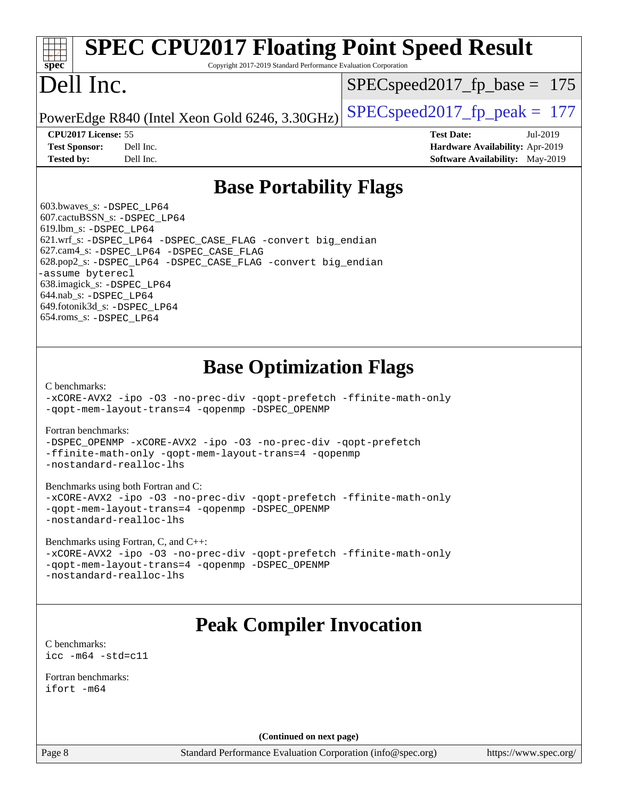# **[SPEC CPU2017 Floating Point Speed Result](http://www.spec.org/auto/cpu2017/Docs/result-fields.html#SPECCPU2017FloatingPointSpeedResult)**

Copyright 2017-2019 Standard Performance Evaluation Corporation

### Dell Inc.

**[spec](http://www.spec.org/)**

SPECspeed2017 fp base =  $175$ 

PowerEdge R840 (Intel Xeon Gold 6246, 3.30GHz) SPECspeed2017\_fp\_peak  $= 177$ 

**[CPU2017 License:](http://www.spec.org/auto/cpu2017/Docs/result-fields.html#CPU2017License)** 55 **[Test Date:](http://www.spec.org/auto/cpu2017/Docs/result-fields.html#TestDate)** Jul-2019 **[Test Sponsor:](http://www.spec.org/auto/cpu2017/Docs/result-fields.html#TestSponsor)** Dell Inc. **[Hardware Availability:](http://www.spec.org/auto/cpu2017/Docs/result-fields.html#HardwareAvailability)** Apr-2019 **[Tested by:](http://www.spec.org/auto/cpu2017/Docs/result-fields.html#Testedby)** Dell Inc. **[Software Availability:](http://www.spec.org/auto/cpu2017/Docs/result-fields.html#SoftwareAvailability)** May-2019

#### **[Base Portability Flags](http://www.spec.org/auto/cpu2017/Docs/result-fields.html#BasePortabilityFlags)**

 603.bwaves\_s: [-DSPEC\\_LP64](http://www.spec.org/cpu2017/results/res2019q3/cpu2017-20190722-16270.flags.html#suite_basePORTABILITY603_bwaves_s_DSPEC_LP64) 607.cactuBSSN\_s: [-DSPEC\\_LP64](http://www.spec.org/cpu2017/results/res2019q3/cpu2017-20190722-16270.flags.html#suite_basePORTABILITY607_cactuBSSN_s_DSPEC_LP64) 619.lbm\_s: [-DSPEC\\_LP64](http://www.spec.org/cpu2017/results/res2019q3/cpu2017-20190722-16270.flags.html#suite_basePORTABILITY619_lbm_s_DSPEC_LP64) 621.wrf\_s: [-DSPEC\\_LP64](http://www.spec.org/cpu2017/results/res2019q3/cpu2017-20190722-16270.flags.html#suite_basePORTABILITY621_wrf_s_DSPEC_LP64) [-DSPEC\\_CASE\\_FLAG](http://www.spec.org/cpu2017/results/res2019q3/cpu2017-20190722-16270.flags.html#b621.wrf_s_baseCPORTABILITY_DSPEC_CASE_FLAG) [-convert big\\_endian](http://www.spec.org/cpu2017/results/res2019q3/cpu2017-20190722-16270.flags.html#user_baseFPORTABILITY621_wrf_s_convert_big_endian_c3194028bc08c63ac5d04de18c48ce6d347e4e562e8892b8bdbdc0214820426deb8554edfa529a3fb25a586e65a3d812c835984020483e7e73212c4d31a38223) 627.cam4\_s: [-DSPEC\\_LP64](http://www.spec.org/cpu2017/results/res2019q3/cpu2017-20190722-16270.flags.html#suite_basePORTABILITY627_cam4_s_DSPEC_LP64) [-DSPEC\\_CASE\\_FLAG](http://www.spec.org/cpu2017/results/res2019q3/cpu2017-20190722-16270.flags.html#b627.cam4_s_baseCPORTABILITY_DSPEC_CASE_FLAG) 628.pop2\_s: [-DSPEC\\_LP64](http://www.spec.org/cpu2017/results/res2019q3/cpu2017-20190722-16270.flags.html#suite_basePORTABILITY628_pop2_s_DSPEC_LP64) [-DSPEC\\_CASE\\_FLAG](http://www.spec.org/cpu2017/results/res2019q3/cpu2017-20190722-16270.flags.html#b628.pop2_s_baseCPORTABILITY_DSPEC_CASE_FLAG) [-convert big\\_endian](http://www.spec.org/cpu2017/results/res2019q3/cpu2017-20190722-16270.flags.html#user_baseFPORTABILITY628_pop2_s_convert_big_endian_c3194028bc08c63ac5d04de18c48ce6d347e4e562e8892b8bdbdc0214820426deb8554edfa529a3fb25a586e65a3d812c835984020483e7e73212c4d31a38223) [-assume byterecl](http://www.spec.org/cpu2017/results/res2019q3/cpu2017-20190722-16270.flags.html#user_baseFPORTABILITY628_pop2_s_assume_byterecl_7e47d18b9513cf18525430bbf0f2177aa9bf368bc7a059c09b2c06a34b53bd3447c950d3f8d6c70e3faf3a05c8557d66a5798b567902e8849adc142926523472) 638.imagick\_s: [-DSPEC\\_LP64](http://www.spec.org/cpu2017/results/res2019q3/cpu2017-20190722-16270.flags.html#suite_basePORTABILITY638_imagick_s_DSPEC_LP64) 644.nab\_s: [-DSPEC\\_LP64](http://www.spec.org/cpu2017/results/res2019q3/cpu2017-20190722-16270.flags.html#suite_basePORTABILITY644_nab_s_DSPEC_LP64) 649.fotonik3d\_s: [-DSPEC\\_LP64](http://www.spec.org/cpu2017/results/res2019q3/cpu2017-20190722-16270.flags.html#suite_basePORTABILITY649_fotonik3d_s_DSPEC_LP64) 654.roms\_s: [-DSPEC\\_LP64](http://www.spec.org/cpu2017/results/res2019q3/cpu2017-20190722-16270.flags.html#suite_basePORTABILITY654_roms_s_DSPEC_LP64)

#### **[Base Optimization Flags](http://www.spec.org/auto/cpu2017/Docs/result-fields.html#BaseOptimizationFlags)**

[C benchmarks](http://www.spec.org/auto/cpu2017/Docs/result-fields.html#Cbenchmarks):

[-xCORE-AVX2](http://www.spec.org/cpu2017/results/res2019q3/cpu2017-20190722-16270.flags.html#user_CCbase_f-xCORE-AVX2) [-ipo](http://www.spec.org/cpu2017/results/res2019q3/cpu2017-20190722-16270.flags.html#user_CCbase_f-ipo) [-O3](http://www.spec.org/cpu2017/results/res2019q3/cpu2017-20190722-16270.flags.html#user_CCbase_f-O3) [-no-prec-div](http://www.spec.org/cpu2017/results/res2019q3/cpu2017-20190722-16270.flags.html#user_CCbase_f-no-prec-div) [-qopt-prefetch](http://www.spec.org/cpu2017/results/res2019q3/cpu2017-20190722-16270.flags.html#user_CCbase_f-qopt-prefetch) [-ffinite-math-only](http://www.spec.org/cpu2017/results/res2019q3/cpu2017-20190722-16270.flags.html#user_CCbase_f_finite_math_only_cb91587bd2077682c4b38af759c288ed7c732db004271a9512da14a4f8007909a5f1427ecbf1a0fb78ff2a814402c6114ac565ca162485bbcae155b5e4258871) [-qopt-mem-layout-trans=4](http://www.spec.org/cpu2017/results/res2019q3/cpu2017-20190722-16270.flags.html#user_CCbase_f-qopt-mem-layout-trans_fa39e755916c150a61361b7846f310bcdf6f04e385ef281cadf3647acec3f0ae266d1a1d22d972a7087a248fd4e6ca390a3634700869573d231a252c784941a8) [-qopenmp](http://www.spec.org/cpu2017/results/res2019q3/cpu2017-20190722-16270.flags.html#user_CCbase_qopenmp_16be0c44f24f464004c6784a7acb94aca937f053568ce72f94b139a11c7c168634a55f6653758ddd83bcf7b8463e8028bb0b48b77bcddc6b78d5d95bb1df2967) [-DSPEC\\_OPENMP](http://www.spec.org/cpu2017/results/res2019q3/cpu2017-20190722-16270.flags.html#suite_CCbase_DSPEC_OPENMP)

#### [Fortran benchmarks](http://www.spec.org/auto/cpu2017/Docs/result-fields.html#Fortranbenchmarks):

[-DSPEC\\_OPENMP](http://www.spec.org/cpu2017/results/res2019q3/cpu2017-20190722-16270.flags.html#suite_FCbase_DSPEC_OPENMP) [-xCORE-AVX2](http://www.spec.org/cpu2017/results/res2019q3/cpu2017-20190722-16270.flags.html#user_FCbase_f-xCORE-AVX2) [-ipo](http://www.spec.org/cpu2017/results/res2019q3/cpu2017-20190722-16270.flags.html#user_FCbase_f-ipo) [-O3](http://www.spec.org/cpu2017/results/res2019q3/cpu2017-20190722-16270.flags.html#user_FCbase_f-O3) [-no-prec-div](http://www.spec.org/cpu2017/results/res2019q3/cpu2017-20190722-16270.flags.html#user_FCbase_f-no-prec-div) [-qopt-prefetch](http://www.spec.org/cpu2017/results/res2019q3/cpu2017-20190722-16270.flags.html#user_FCbase_f-qopt-prefetch) [-ffinite-math-only](http://www.spec.org/cpu2017/results/res2019q3/cpu2017-20190722-16270.flags.html#user_FCbase_f_finite_math_only_cb91587bd2077682c4b38af759c288ed7c732db004271a9512da14a4f8007909a5f1427ecbf1a0fb78ff2a814402c6114ac565ca162485bbcae155b5e4258871) [-qopt-mem-layout-trans=4](http://www.spec.org/cpu2017/results/res2019q3/cpu2017-20190722-16270.flags.html#user_FCbase_f-qopt-mem-layout-trans_fa39e755916c150a61361b7846f310bcdf6f04e385ef281cadf3647acec3f0ae266d1a1d22d972a7087a248fd4e6ca390a3634700869573d231a252c784941a8) [-qopenmp](http://www.spec.org/cpu2017/results/res2019q3/cpu2017-20190722-16270.flags.html#user_FCbase_qopenmp_16be0c44f24f464004c6784a7acb94aca937f053568ce72f94b139a11c7c168634a55f6653758ddd83bcf7b8463e8028bb0b48b77bcddc6b78d5d95bb1df2967) [-nostandard-realloc-lhs](http://www.spec.org/cpu2017/results/res2019q3/cpu2017-20190722-16270.flags.html#user_FCbase_f_2003_std_realloc_82b4557e90729c0f113870c07e44d33d6f5a304b4f63d4c15d2d0f1fab99f5daaed73bdb9275d9ae411527f28b936061aa8b9c8f2d63842963b95c9dd6426b8a)

[Benchmarks using both Fortran and C](http://www.spec.org/auto/cpu2017/Docs/result-fields.html#BenchmarksusingbothFortranandC):

[-xCORE-AVX2](http://www.spec.org/cpu2017/results/res2019q3/cpu2017-20190722-16270.flags.html#user_CC_FCbase_f-xCORE-AVX2) [-ipo](http://www.spec.org/cpu2017/results/res2019q3/cpu2017-20190722-16270.flags.html#user_CC_FCbase_f-ipo) [-O3](http://www.spec.org/cpu2017/results/res2019q3/cpu2017-20190722-16270.flags.html#user_CC_FCbase_f-O3) [-no-prec-div](http://www.spec.org/cpu2017/results/res2019q3/cpu2017-20190722-16270.flags.html#user_CC_FCbase_f-no-prec-div) [-qopt-prefetch](http://www.spec.org/cpu2017/results/res2019q3/cpu2017-20190722-16270.flags.html#user_CC_FCbase_f-qopt-prefetch) [-ffinite-math-only](http://www.spec.org/cpu2017/results/res2019q3/cpu2017-20190722-16270.flags.html#user_CC_FCbase_f_finite_math_only_cb91587bd2077682c4b38af759c288ed7c732db004271a9512da14a4f8007909a5f1427ecbf1a0fb78ff2a814402c6114ac565ca162485bbcae155b5e4258871) [-qopt-mem-layout-trans=4](http://www.spec.org/cpu2017/results/res2019q3/cpu2017-20190722-16270.flags.html#user_CC_FCbase_f-qopt-mem-layout-trans_fa39e755916c150a61361b7846f310bcdf6f04e385ef281cadf3647acec3f0ae266d1a1d22d972a7087a248fd4e6ca390a3634700869573d231a252c784941a8) [-qopenmp](http://www.spec.org/cpu2017/results/res2019q3/cpu2017-20190722-16270.flags.html#user_CC_FCbase_qopenmp_16be0c44f24f464004c6784a7acb94aca937f053568ce72f94b139a11c7c168634a55f6653758ddd83bcf7b8463e8028bb0b48b77bcddc6b78d5d95bb1df2967) [-DSPEC\\_OPENMP](http://www.spec.org/cpu2017/results/res2019q3/cpu2017-20190722-16270.flags.html#suite_CC_FCbase_DSPEC_OPENMP) [-nostandard-realloc-lhs](http://www.spec.org/cpu2017/results/res2019q3/cpu2017-20190722-16270.flags.html#user_CC_FCbase_f_2003_std_realloc_82b4557e90729c0f113870c07e44d33d6f5a304b4f63d4c15d2d0f1fab99f5daaed73bdb9275d9ae411527f28b936061aa8b9c8f2d63842963b95c9dd6426b8a)

[Benchmarks using Fortran, C, and C++:](http://www.spec.org/auto/cpu2017/Docs/result-fields.html#BenchmarksusingFortranCandCXX)

[-xCORE-AVX2](http://www.spec.org/cpu2017/results/res2019q3/cpu2017-20190722-16270.flags.html#user_CC_CXX_FCbase_f-xCORE-AVX2) [-ipo](http://www.spec.org/cpu2017/results/res2019q3/cpu2017-20190722-16270.flags.html#user_CC_CXX_FCbase_f-ipo) [-O3](http://www.spec.org/cpu2017/results/res2019q3/cpu2017-20190722-16270.flags.html#user_CC_CXX_FCbase_f-O3) [-no-prec-div](http://www.spec.org/cpu2017/results/res2019q3/cpu2017-20190722-16270.flags.html#user_CC_CXX_FCbase_f-no-prec-div) [-qopt-prefetch](http://www.spec.org/cpu2017/results/res2019q3/cpu2017-20190722-16270.flags.html#user_CC_CXX_FCbase_f-qopt-prefetch) [-ffinite-math-only](http://www.spec.org/cpu2017/results/res2019q3/cpu2017-20190722-16270.flags.html#user_CC_CXX_FCbase_f_finite_math_only_cb91587bd2077682c4b38af759c288ed7c732db004271a9512da14a4f8007909a5f1427ecbf1a0fb78ff2a814402c6114ac565ca162485bbcae155b5e4258871) [-qopt-mem-layout-trans=4](http://www.spec.org/cpu2017/results/res2019q3/cpu2017-20190722-16270.flags.html#user_CC_CXX_FCbase_f-qopt-mem-layout-trans_fa39e755916c150a61361b7846f310bcdf6f04e385ef281cadf3647acec3f0ae266d1a1d22d972a7087a248fd4e6ca390a3634700869573d231a252c784941a8) [-qopenmp](http://www.spec.org/cpu2017/results/res2019q3/cpu2017-20190722-16270.flags.html#user_CC_CXX_FCbase_qopenmp_16be0c44f24f464004c6784a7acb94aca937f053568ce72f94b139a11c7c168634a55f6653758ddd83bcf7b8463e8028bb0b48b77bcddc6b78d5d95bb1df2967) [-DSPEC\\_OPENMP](http://www.spec.org/cpu2017/results/res2019q3/cpu2017-20190722-16270.flags.html#suite_CC_CXX_FCbase_DSPEC_OPENMP) [-nostandard-realloc-lhs](http://www.spec.org/cpu2017/results/res2019q3/cpu2017-20190722-16270.flags.html#user_CC_CXX_FCbase_f_2003_std_realloc_82b4557e90729c0f113870c07e44d33d6f5a304b4f63d4c15d2d0f1fab99f5daaed73bdb9275d9ae411527f28b936061aa8b9c8f2d63842963b95c9dd6426b8a)

#### **[Peak Compiler Invocation](http://www.spec.org/auto/cpu2017/Docs/result-fields.html#PeakCompilerInvocation)**

[C benchmarks](http://www.spec.org/auto/cpu2017/Docs/result-fields.html#Cbenchmarks): [icc -m64 -std=c11](http://www.spec.org/cpu2017/results/res2019q3/cpu2017-20190722-16270.flags.html#user_CCpeak_intel_icc_64bit_c11_33ee0cdaae7deeeab2a9725423ba97205ce30f63b9926c2519791662299b76a0318f32ddfffdc46587804de3178b4f9328c46fa7c2b0cd779d7a61945c91cd35)

[Fortran benchmarks](http://www.spec.org/auto/cpu2017/Docs/result-fields.html#Fortranbenchmarks): [ifort -m64](http://www.spec.org/cpu2017/results/res2019q3/cpu2017-20190722-16270.flags.html#user_FCpeak_intel_ifort_64bit_24f2bb282fbaeffd6157abe4f878425411749daecae9a33200eee2bee2fe76f3b89351d69a8130dd5949958ce389cf37ff59a95e7a40d588e8d3a57e0c3fd751)

**(Continued on next page)**

Page 8 Standard Performance Evaluation Corporation [\(info@spec.org\)](mailto:info@spec.org) <https://www.spec.org/>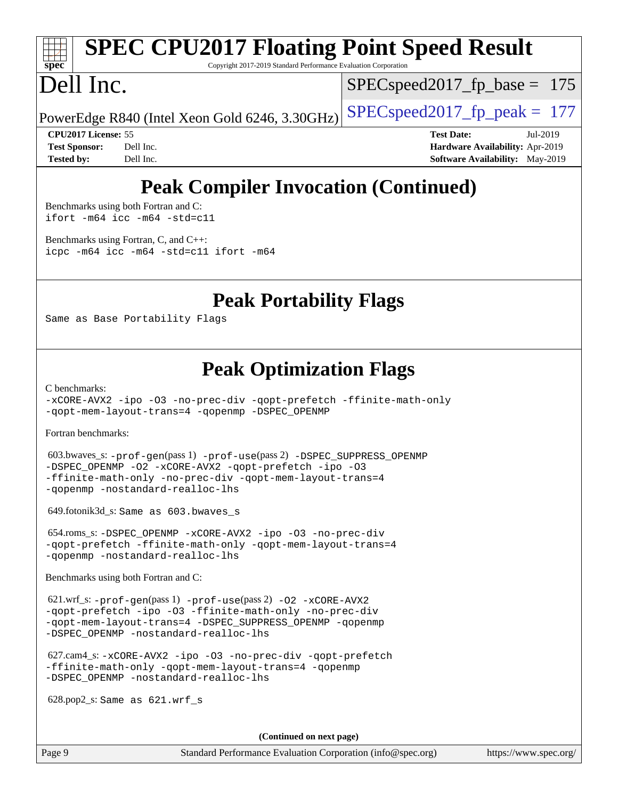# **[spec](http://www.spec.org/)**

## **[SPEC CPU2017 Floating Point Speed Result](http://www.spec.org/auto/cpu2017/Docs/result-fields.html#SPECCPU2017FloatingPointSpeedResult)**

Copyright 2017-2019 Standard Performance Evaluation Corporation

## Dell Inc.

SPECspeed2017 fp base =  $175$ 

PowerEdge R840 (Intel Xeon Gold 6246, 3.30GHz) SPECspeed2017\_fp\_peak  $= 177$ 

**[CPU2017 License:](http://www.spec.org/auto/cpu2017/Docs/result-fields.html#CPU2017License)** 55 **[Test Date:](http://www.spec.org/auto/cpu2017/Docs/result-fields.html#TestDate)** Jul-2019 **[Test Sponsor:](http://www.spec.org/auto/cpu2017/Docs/result-fields.html#TestSponsor)** Dell Inc. **[Hardware Availability:](http://www.spec.org/auto/cpu2017/Docs/result-fields.html#HardwareAvailability)** Apr-2019 **[Tested by:](http://www.spec.org/auto/cpu2017/Docs/result-fields.html#Testedby)** Dell Inc. **[Software Availability:](http://www.spec.org/auto/cpu2017/Docs/result-fields.html#SoftwareAvailability)** May-2019

#### **[Peak Compiler Invocation \(Continued\)](http://www.spec.org/auto/cpu2017/Docs/result-fields.html#PeakCompilerInvocation)**

[Benchmarks using both Fortran and C](http://www.spec.org/auto/cpu2017/Docs/result-fields.html#BenchmarksusingbothFortranandC): [ifort -m64](http://www.spec.org/cpu2017/results/res2019q3/cpu2017-20190722-16270.flags.html#user_CC_FCpeak_intel_ifort_64bit_24f2bb282fbaeffd6157abe4f878425411749daecae9a33200eee2bee2fe76f3b89351d69a8130dd5949958ce389cf37ff59a95e7a40d588e8d3a57e0c3fd751) [icc -m64 -std=c11](http://www.spec.org/cpu2017/results/res2019q3/cpu2017-20190722-16270.flags.html#user_CC_FCpeak_intel_icc_64bit_c11_33ee0cdaae7deeeab2a9725423ba97205ce30f63b9926c2519791662299b76a0318f32ddfffdc46587804de3178b4f9328c46fa7c2b0cd779d7a61945c91cd35)

[Benchmarks using Fortran, C, and C++:](http://www.spec.org/auto/cpu2017/Docs/result-fields.html#BenchmarksusingFortranCandCXX) [icpc -m64](http://www.spec.org/cpu2017/results/res2019q3/cpu2017-20190722-16270.flags.html#user_CC_CXX_FCpeak_intel_icpc_64bit_4ecb2543ae3f1412ef961e0650ca070fec7b7afdcd6ed48761b84423119d1bf6bdf5cad15b44d48e7256388bc77273b966e5eb805aefd121eb22e9299b2ec9d9) [icc -m64 -std=c11](http://www.spec.org/cpu2017/results/res2019q3/cpu2017-20190722-16270.flags.html#user_CC_CXX_FCpeak_intel_icc_64bit_c11_33ee0cdaae7deeeab2a9725423ba97205ce30f63b9926c2519791662299b76a0318f32ddfffdc46587804de3178b4f9328c46fa7c2b0cd779d7a61945c91cd35) [ifort -m64](http://www.spec.org/cpu2017/results/res2019q3/cpu2017-20190722-16270.flags.html#user_CC_CXX_FCpeak_intel_ifort_64bit_24f2bb282fbaeffd6157abe4f878425411749daecae9a33200eee2bee2fe76f3b89351d69a8130dd5949958ce389cf37ff59a95e7a40d588e8d3a57e0c3fd751)

#### **[Peak Portability Flags](http://www.spec.org/auto/cpu2017/Docs/result-fields.html#PeakPortabilityFlags)**

Same as Base Portability Flags

#### **[Peak Optimization Flags](http://www.spec.org/auto/cpu2017/Docs/result-fields.html#PeakOptimizationFlags)**

[C benchmarks](http://www.spec.org/auto/cpu2017/Docs/result-fields.html#Cbenchmarks):

[-xCORE-AVX2](http://www.spec.org/cpu2017/results/res2019q3/cpu2017-20190722-16270.flags.html#user_CCpeak_f-xCORE-AVX2) [-ipo](http://www.spec.org/cpu2017/results/res2019q3/cpu2017-20190722-16270.flags.html#user_CCpeak_f-ipo) [-O3](http://www.spec.org/cpu2017/results/res2019q3/cpu2017-20190722-16270.flags.html#user_CCpeak_f-O3) [-no-prec-div](http://www.spec.org/cpu2017/results/res2019q3/cpu2017-20190722-16270.flags.html#user_CCpeak_f-no-prec-div) [-qopt-prefetch](http://www.spec.org/cpu2017/results/res2019q3/cpu2017-20190722-16270.flags.html#user_CCpeak_f-qopt-prefetch) [-ffinite-math-only](http://www.spec.org/cpu2017/results/res2019q3/cpu2017-20190722-16270.flags.html#user_CCpeak_f_finite_math_only_cb91587bd2077682c4b38af759c288ed7c732db004271a9512da14a4f8007909a5f1427ecbf1a0fb78ff2a814402c6114ac565ca162485bbcae155b5e4258871) [-qopt-mem-layout-trans=4](http://www.spec.org/cpu2017/results/res2019q3/cpu2017-20190722-16270.flags.html#user_CCpeak_f-qopt-mem-layout-trans_fa39e755916c150a61361b7846f310bcdf6f04e385ef281cadf3647acec3f0ae266d1a1d22d972a7087a248fd4e6ca390a3634700869573d231a252c784941a8) [-qopenmp](http://www.spec.org/cpu2017/results/res2019q3/cpu2017-20190722-16270.flags.html#user_CCpeak_qopenmp_16be0c44f24f464004c6784a7acb94aca937f053568ce72f94b139a11c7c168634a55f6653758ddd83bcf7b8463e8028bb0b48b77bcddc6b78d5d95bb1df2967) [-DSPEC\\_OPENMP](http://www.spec.org/cpu2017/results/res2019q3/cpu2017-20190722-16270.flags.html#suite_CCpeak_DSPEC_OPENMP)

[Fortran benchmarks](http://www.spec.org/auto/cpu2017/Docs/result-fields.html#Fortranbenchmarks):

 603.bwaves\_s: [-prof-gen](http://www.spec.org/cpu2017/results/res2019q3/cpu2017-20190722-16270.flags.html#user_peakPASS1_FFLAGSPASS1_LDFLAGS603_bwaves_s_prof_gen_5aa4926d6013ddb2a31985c654b3eb18169fc0c6952a63635c234f711e6e63dd76e94ad52365559451ec499a2cdb89e4dc58ba4c67ef54ca681ffbe1461d6b36)(pass 1) [-prof-use](http://www.spec.org/cpu2017/results/res2019q3/cpu2017-20190722-16270.flags.html#user_peakPASS2_FFLAGSPASS2_LDFLAGS603_bwaves_s_prof_use_1a21ceae95f36a2b53c25747139a6c16ca95bd9def2a207b4f0849963b97e94f5260e30a0c64f4bb623698870e679ca08317ef8150905d41bd88c6f78df73f19)(pass 2) [-DSPEC\\_SUPPRESS\\_OPENMP](http://www.spec.org/cpu2017/results/res2019q3/cpu2017-20190722-16270.flags.html#suite_peakPASS1_FOPTIMIZE603_bwaves_s_DSPEC_SUPPRESS_OPENMP) [-DSPEC\\_OPENMP](http://www.spec.org/cpu2017/results/res2019q3/cpu2017-20190722-16270.flags.html#suite_peakPASS2_FOPTIMIZE603_bwaves_s_DSPEC_OPENMP) [-O2](http://www.spec.org/cpu2017/results/res2019q3/cpu2017-20190722-16270.flags.html#user_peakPASS1_FOPTIMIZE603_bwaves_s_f-O2) [-xCORE-AVX2](http://www.spec.org/cpu2017/results/res2019q3/cpu2017-20190722-16270.flags.html#user_peakPASS2_FOPTIMIZE603_bwaves_s_f-xCORE-AVX2) [-qopt-prefetch](http://www.spec.org/cpu2017/results/res2019q3/cpu2017-20190722-16270.flags.html#user_peakPASS1_FOPTIMIZEPASS2_FOPTIMIZE603_bwaves_s_f-qopt-prefetch) [-ipo](http://www.spec.org/cpu2017/results/res2019q3/cpu2017-20190722-16270.flags.html#user_peakPASS2_FOPTIMIZE603_bwaves_s_f-ipo) [-O3](http://www.spec.org/cpu2017/results/res2019q3/cpu2017-20190722-16270.flags.html#user_peakPASS2_FOPTIMIZE603_bwaves_s_f-O3) [-ffinite-math-only](http://www.spec.org/cpu2017/results/res2019q3/cpu2017-20190722-16270.flags.html#user_peakPASS1_FOPTIMIZEPASS2_FOPTIMIZE603_bwaves_s_f_finite_math_only_cb91587bd2077682c4b38af759c288ed7c732db004271a9512da14a4f8007909a5f1427ecbf1a0fb78ff2a814402c6114ac565ca162485bbcae155b5e4258871) [-no-prec-div](http://www.spec.org/cpu2017/results/res2019q3/cpu2017-20190722-16270.flags.html#user_peakPASS2_FOPTIMIZE603_bwaves_s_f-no-prec-div) [-qopt-mem-layout-trans=4](http://www.spec.org/cpu2017/results/res2019q3/cpu2017-20190722-16270.flags.html#user_peakPASS1_FOPTIMIZEPASS2_FOPTIMIZE603_bwaves_s_f-qopt-mem-layout-trans_fa39e755916c150a61361b7846f310bcdf6f04e385ef281cadf3647acec3f0ae266d1a1d22d972a7087a248fd4e6ca390a3634700869573d231a252c784941a8) [-qopenmp](http://www.spec.org/cpu2017/results/res2019q3/cpu2017-20190722-16270.flags.html#user_peakPASS2_FOPTIMIZE603_bwaves_s_qopenmp_16be0c44f24f464004c6784a7acb94aca937f053568ce72f94b139a11c7c168634a55f6653758ddd83bcf7b8463e8028bb0b48b77bcddc6b78d5d95bb1df2967) [-nostandard-realloc-lhs](http://www.spec.org/cpu2017/results/res2019q3/cpu2017-20190722-16270.flags.html#user_peakEXTRA_FOPTIMIZE603_bwaves_s_f_2003_std_realloc_82b4557e90729c0f113870c07e44d33d6f5a304b4f63d4c15d2d0f1fab99f5daaed73bdb9275d9ae411527f28b936061aa8b9c8f2d63842963b95c9dd6426b8a)

649.fotonik3d\_s: Same as 603.bwaves\_s

 654.roms\_s: [-DSPEC\\_OPENMP](http://www.spec.org/cpu2017/results/res2019q3/cpu2017-20190722-16270.flags.html#suite_peakFOPTIMIZE654_roms_s_DSPEC_OPENMP) [-xCORE-AVX2](http://www.spec.org/cpu2017/results/res2019q3/cpu2017-20190722-16270.flags.html#user_peakFOPTIMIZE654_roms_s_f-xCORE-AVX2) [-ipo](http://www.spec.org/cpu2017/results/res2019q3/cpu2017-20190722-16270.flags.html#user_peakFOPTIMIZE654_roms_s_f-ipo) [-O3](http://www.spec.org/cpu2017/results/res2019q3/cpu2017-20190722-16270.flags.html#user_peakFOPTIMIZE654_roms_s_f-O3) [-no-prec-div](http://www.spec.org/cpu2017/results/res2019q3/cpu2017-20190722-16270.flags.html#user_peakFOPTIMIZE654_roms_s_f-no-prec-div) [-qopt-prefetch](http://www.spec.org/cpu2017/results/res2019q3/cpu2017-20190722-16270.flags.html#user_peakFOPTIMIZE654_roms_s_f-qopt-prefetch) [-ffinite-math-only](http://www.spec.org/cpu2017/results/res2019q3/cpu2017-20190722-16270.flags.html#user_peakFOPTIMIZE654_roms_s_f_finite_math_only_cb91587bd2077682c4b38af759c288ed7c732db004271a9512da14a4f8007909a5f1427ecbf1a0fb78ff2a814402c6114ac565ca162485bbcae155b5e4258871) [-qopt-mem-layout-trans=4](http://www.spec.org/cpu2017/results/res2019q3/cpu2017-20190722-16270.flags.html#user_peakFOPTIMIZE654_roms_s_f-qopt-mem-layout-trans_fa39e755916c150a61361b7846f310bcdf6f04e385ef281cadf3647acec3f0ae266d1a1d22d972a7087a248fd4e6ca390a3634700869573d231a252c784941a8) [-qopenmp](http://www.spec.org/cpu2017/results/res2019q3/cpu2017-20190722-16270.flags.html#user_peakFOPTIMIZE654_roms_s_qopenmp_16be0c44f24f464004c6784a7acb94aca937f053568ce72f94b139a11c7c168634a55f6653758ddd83bcf7b8463e8028bb0b48b77bcddc6b78d5d95bb1df2967) [-nostandard-realloc-lhs](http://www.spec.org/cpu2017/results/res2019q3/cpu2017-20190722-16270.flags.html#user_peakEXTRA_FOPTIMIZE654_roms_s_f_2003_std_realloc_82b4557e90729c0f113870c07e44d33d6f5a304b4f63d4c15d2d0f1fab99f5daaed73bdb9275d9ae411527f28b936061aa8b9c8f2d63842963b95c9dd6426b8a)

[Benchmarks using both Fortran and C](http://www.spec.org/auto/cpu2017/Docs/result-fields.html#BenchmarksusingbothFortranandC):

 621.wrf\_s: [-prof-gen](http://www.spec.org/cpu2017/results/res2019q3/cpu2017-20190722-16270.flags.html#user_peakPASS1_CFLAGSPASS1_FFLAGSPASS1_LDFLAGS621_wrf_s_prof_gen_5aa4926d6013ddb2a31985c654b3eb18169fc0c6952a63635c234f711e6e63dd76e94ad52365559451ec499a2cdb89e4dc58ba4c67ef54ca681ffbe1461d6b36)(pass 1) [-prof-use](http://www.spec.org/cpu2017/results/res2019q3/cpu2017-20190722-16270.flags.html#user_peakPASS2_CFLAGSPASS2_FFLAGSPASS2_LDFLAGS621_wrf_s_prof_use_1a21ceae95f36a2b53c25747139a6c16ca95bd9def2a207b4f0849963b97e94f5260e30a0c64f4bb623698870e679ca08317ef8150905d41bd88c6f78df73f19)(pass 2) [-O2](http://www.spec.org/cpu2017/results/res2019q3/cpu2017-20190722-16270.flags.html#user_peakPASS1_COPTIMIZEPASS1_FOPTIMIZE621_wrf_s_f-O2) [-xCORE-AVX2](http://www.spec.org/cpu2017/results/res2019q3/cpu2017-20190722-16270.flags.html#user_peakPASS2_COPTIMIZEPASS2_FOPTIMIZE621_wrf_s_f-xCORE-AVX2) [-qopt-prefetch](http://www.spec.org/cpu2017/results/res2019q3/cpu2017-20190722-16270.flags.html#user_peakPASS1_COPTIMIZEPASS1_FOPTIMIZEPASS2_COPTIMIZEPASS2_FOPTIMIZE621_wrf_s_f-qopt-prefetch) [-ipo](http://www.spec.org/cpu2017/results/res2019q3/cpu2017-20190722-16270.flags.html#user_peakPASS2_COPTIMIZEPASS2_FOPTIMIZE621_wrf_s_f-ipo) [-O3](http://www.spec.org/cpu2017/results/res2019q3/cpu2017-20190722-16270.flags.html#user_peakPASS2_COPTIMIZEPASS2_FOPTIMIZE621_wrf_s_f-O3) [-ffinite-math-only](http://www.spec.org/cpu2017/results/res2019q3/cpu2017-20190722-16270.flags.html#user_peakPASS1_COPTIMIZEPASS1_FOPTIMIZEPASS2_COPTIMIZEPASS2_FOPTIMIZE621_wrf_s_f_finite_math_only_cb91587bd2077682c4b38af759c288ed7c732db004271a9512da14a4f8007909a5f1427ecbf1a0fb78ff2a814402c6114ac565ca162485bbcae155b5e4258871) [-no-prec-div](http://www.spec.org/cpu2017/results/res2019q3/cpu2017-20190722-16270.flags.html#user_peakPASS2_COPTIMIZEPASS2_FOPTIMIZE621_wrf_s_f-no-prec-div) [-qopt-mem-layout-trans=4](http://www.spec.org/cpu2017/results/res2019q3/cpu2017-20190722-16270.flags.html#user_peakPASS1_COPTIMIZEPASS1_FOPTIMIZEPASS2_COPTIMIZEPASS2_FOPTIMIZE621_wrf_s_f-qopt-mem-layout-trans_fa39e755916c150a61361b7846f310bcdf6f04e385ef281cadf3647acec3f0ae266d1a1d22d972a7087a248fd4e6ca390a3634700869573d231a252c784941a8) [-DSPEC\\_SUPPRESS\\_OPENMP](http://www.spec.org/cpu2017/results/res2019q3/cpu2017-20190722-16270.flags.html#suite_peakPASS1_COPTIMIZEPASS1_FOPTIMIZE621_wrf_s_DSPEC_SUPPRESS_OPENMP) [-qopenmp](http://www.spec.org/cpu2017/results/res2019q3/cpu2017-20190722-16270.flags.html#user_peakPASS2_COPTIMIZEPASS2_FOPTIMIZE621_wrf_s_qopenmp_16be0c44f24f464004c6784a7acb94aca937f053568ce72f94b139a11c7c168634a55f6653758ddd83bcf7b8463e8028bb0b48b77bcddc6b78d5d95bb1df2967) [-DSPEC\\_OPENMP](http://www.spec.org/cpu2017/results/res2019q3/cpu2017-20190722-16270.flags.html#suite_peakPASS2_COPTIMIZEPASS2_FOPTIMIZE621_wrf_s_DSPEC_OPENMP) [-nostandard-realloc-lhs](http://www.spec.org/cpu2017/results/res2019q3/cpu2017-20190722-16270.flags.html#user_peakEXTRA_FOPTIMIZE621_wrf_s_f_2003_std_realloc_82b4557e90729c0f113870c07e44d33d6f5a304b4f63d4c15d2d0f1fab99f5daaed73bdb9275d9ae411527f28b936061aa8b9c8f2d63842963b95c9dd6426b8a)

 627.cam4\_s: [-xCORE-AVX2](http://www.spec.org/cpu2017/results/res2019q3/cpu2017-20190722-16270.flags.html#user_peakCOPTIMIZEFOPTIMIZE627_cam4_s_f-xCORE-AVX2) [-ipo](http://www.spec.org/cpu2017/results/res2019q3/cpu2017-20190722-16270.flags.html#user_peakCOPTIMIZEFOPTIMIZE627_cam4_s_f-ipo) [-O3](http://www.spec.org/cpu2017/results/res2019q3/cpu2017-20190722-16270.flags.html#user_peakCOPTIMIZEFOPTIMIZE627_cam4_s_f-O3) [-no-prec-div](http://www.spec.org/cpu2017/results/res2019q3/cpu2017-20190722-16270.flags.html#user_peakCOPTIMIZEFOPTIMIZE627_cam4_s_f-no-prec-div) [-qopt-prefetch](http://www.spec.org/cpu2017/results/res2019q3/cpu2017-20190722-16270.flags.html#user_peakCOPTIMIZEFOPTIMIZE627_cam4_s_f-qopt-prefetch) [-ffinite-math-only](http://www.spec.org/cpu2017/results/res2019q3/cpu2017-20190722-16270.flags.html#user_peakCOPTIMIZEFOPTIMIZE627_cam4_s_f_finite_math_only_cb91587bd2077682c4b38af759c288ed7c732db004271a9512da14a4f8007909a5f1427ecbf1a0fb78ff2a814402c6114ac565ca162485bbcae155b5e4258871) [-qopt-mem-layout-trans=4](http://www.spec.org/cpu2017/results/res2019q3/cpu2017-20190722-16270.flags.html#user_peakCOPTIMIZEFOPTIMIZE627_cam4_s_f-qopt-mem-layout-trans_fa39e755916c150a61361b7846f310bcdf6f04e385ef281cadf3647acec3f0ae266d1a1d22d972a7087a248fd4e6ca390a3634700869573d231a252c784941a8) [-qopenmp](http://www.spec.org/cpu2017/results/res2019q3/cpu2017-20190722-16270.flags.html#user_peakCOPTIMIZEFOPTIMIZE627_cam4_s_qopenmp_16be0c44f24f464004c6784a7acb94aca937f053568ce72f94b139a11c7c168634a55f6653758ddd83bcf7b8463e8028bb0b48b77bcddc6b78d5d95bb1df2967) [-DSPEC\\_OPENMP](http://www.spec.org/cpu2017/results/res2019q3/cpu2017-20190722-16270.flags.html#suite_peakCOPTIMIZEFOPTIMIZE627_cam4_s_DSPEC_OPENMP) [-nostandard-realloc-lhs](http://www.spec.org/cpu2017/results/res2019q3/cpu2017-20190722-16270.flags.html#user_peakEXTRA_FOPTIMIZE627_cam4_s_f_2003_std_realloc_82b4557e90729c0f113870c07e44d33d6f5a304b4f63d4c15d2d0f1fab99f5daaed73bdb9275d9ae411527f28b936061aa8b9c8f2d63842963b95c9dd6426b8a)

628.pop2\_s: Same as 621.wrf\_s

**(Continued on next page)**